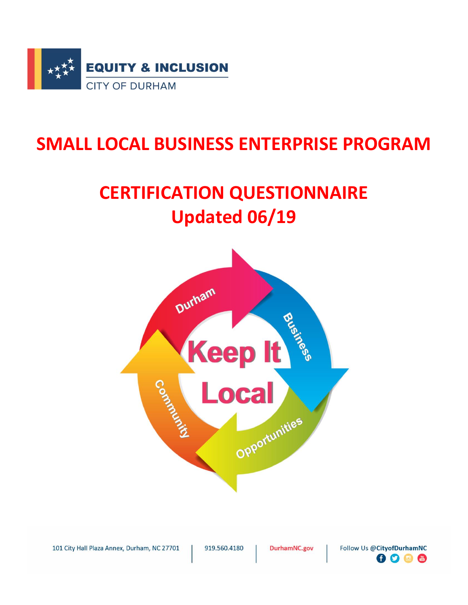

## **SMALL LOCAL BUSINESS ENTERPRISE PROGRAM**

# **CERTIFICATION QUESTIONNAIRE Updated 06/19**



101 City Hall Plaza Annex, Durham, NC 27701

919.560.4180

DurhamNC.gov

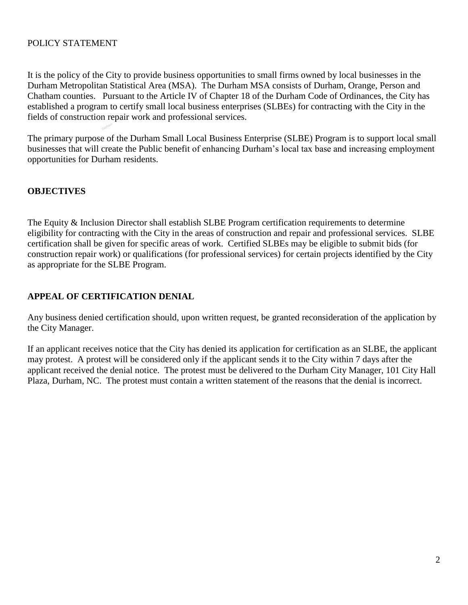## POLICY STATEMENT

It is the policy of the City to provide business opportunities to small firms owned by local businesses in the Durham Metropolitan Statistical Area (MSA). The Durham MSA consists of Durham, Orange, Person and Chatham counties. Pursuant to the Article IV of Chapter 18 of the Durham Code of Ordinances, the City has established a program to certify small local business enterprises (SLBEs) for contracting with the City in the fields of construction repair work and professional services.

The primary purpose of the Durham Small Local Business Enterprise (SLBE) Program is to support local small **Durham** businesses that will create the Public benefit of enhancing Durham's local tax base and increasing employment opportunities for Durham residents.

## **OBJECTIVES**

The Equity & Inclusion Director shall establish SLBE Program certification requirements to determine eligibility for contracting with the City in the areas of construction and repair and professional services. SLBE certification shall be given for specific areas of work. Certified SLBEs may be eligible to submit bids (for construction repair work) or qualifications (for professional services) for certain projects identified by the City as appropriate for the SLBE Program.

## **APPEAL OF CERTIFICATION DENIAL**

Any business denied certification should, upon written request, be granted reconsideration of the application by the City Manager.

If an applicant receives notice that the City has denied its application for certification as an SLBE, the applicant may protest. A protest will be considered only if the applicant sends it to the City within 7 days after the applicant received the denial notice. The protest must be delivered to the Durham City Manager, 101 City Hall Plaza, Durham, NC. The protest must contain a written statement of the reasons that the denial is incorrect.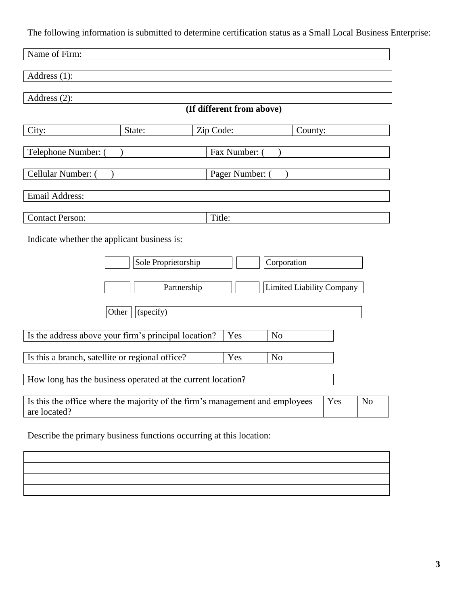The following information is submitted to determine certification status as a Small Local Business Enterprise:

| Address (1):<br>Address $(2)$ :<br>(If different from above)<br>City:<br>State:<br>Zip Code:<br>County:<br>Telephone Number: (<br>Fax Number: (<br>Cellular Number: (<br>Pager Number: (<br>Email Address:<br>Title:<br><b>Contact Person:</b><br>Indicate whether the applicant business is:<br>Sole Proprietorship<br>Corporation |
|-------------------------------------------------------------------------------------------------------------------------------------------------------------------------------------------------------------------------------------------------------------------------------------------------------------------------------------|
|                                                                                                                                                                                                                                                                                                                                     |
|                                                                                                                                                                                                                                                                                                                                     |
|                                                                                                                                                                                                                                                                                                                                     |
|                                                                                                                                                                                                                                                                                                                                     |
|                                                                                                                                                                                                                                                                                                                                     |
|                                                                                                                                                                                                                                                                                                                                     |
|                                                                                                                                                                                                                                                                                                                                     |
|                                                                                                                                                                                                                                                                                                                                     |
|                                                                                                                                                                                                                                                                                                                                     |
|                                                                                                                                                                                                                                                                                                                                     |
| <b>Limited Liability Company</b><br>Partnership                                                                                                                                                                                                                                                                                     |
| Other<br>(specify)                                                                                                                                                                                                                                                                                                                  |
| Is the address above your firm's principal location?<br>Yes<br>N <sub>o</sub>                                                                                                                                                                                                                                                       |
| Is this a branch, satellite or regional office?<br>Yes<br>N <sub>o</sub>                                                                                                                                                                                                                                                            |
| How long has the business operated at the current location?                                                                                                                                                                                                                                                                         |
| Is this the office where the majority of the firm's management and employees<br>N <sub>o</sub><br>Yes<br>are located?                                                                                                                                                                                                               |

Describe the primary business functions occurring at this location:

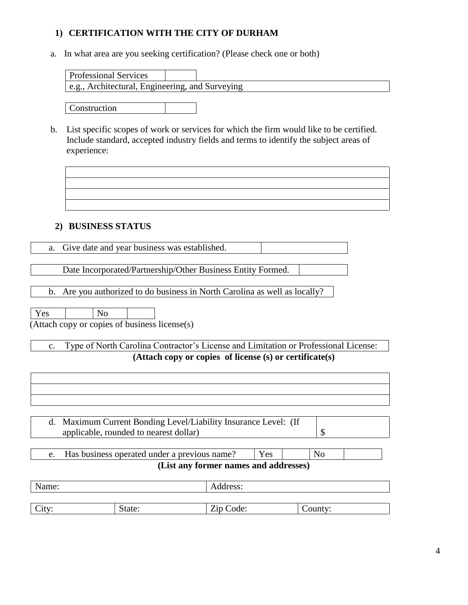## **1) CERTIFICATION WITH THE CITY OF DURHAM**

a. In what area are you seeking certification? (Please check one or both)

| e.g., Architectural, Engineering, and Surveying | <b>Professional Services</b> |  |  |
|-------------------------------------------------|------------------------------|--|--|
|                                                 |                              |  |  |

Construction

b. List specific scopes of work or services for which the firm would like to be certified. Include standard, accepted industry fields and terms to identify the subject areas of experience:

## **2) BUSINESS STATUS**

a. Give date and year business was established.

Date Incorporated/Partnership/Other Business Entity Formed.

b. Are you authorized to do business in North Carolina as well as locally?

| <b>Yes</b> | l No |                                               |
|------------|------|-----------------------------------------------|
|            |      | (Attach copy or copies of business license(s) |

## c. Type of North Carolina Contractor's License and Limitation or Professional License: **(Attach copy or copies of license (s) or certificate(s)**

| d.    | Maximum Current Bonding Level/Liability Insurance Level: (If |                                       |     |                |  |
|-------|--------------------------------------------------------------|---------------------------------------|-----|----------------|--|
|       | applicable, rounded to nearest dollar)                       |                                       |     | \$             |  |
|       |                                                              |                                       |     |                |  |
| e.    | Has business operated under a previous name?                 |                                       | Yes | N <sub>o</sub> |  |
|       |                                                              | (List any former names and addresses) |     |                |  |
|       |                                                              |                                       |     |                |  |
| Name: |                                                              | Address:                              |     |                |  |
|       |                                                              |                                       |     |                |  |
| City: | State:                                                       | Zip Code:                             |     | County:        |  |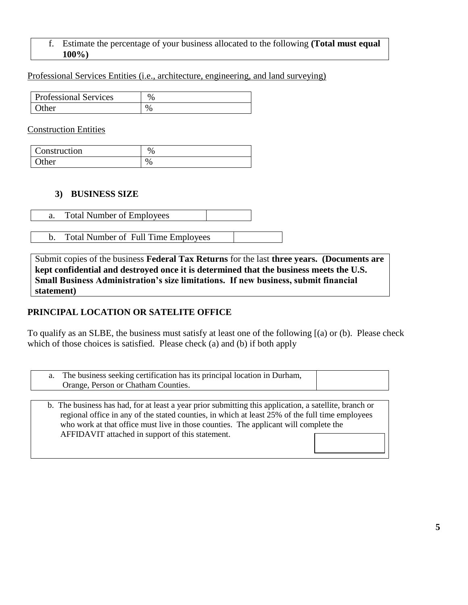## f. Estimate the percentage of your business allocated to the following **(Total must equal 100%)**

## Professional Services Entities (i.e., architecture, engineering, and land surveying)

| <b>Professional Services</b> | $\%$          |
|------------------------------|---------------|
| )ther                        | $\frac{0}{0}$ |

#### Construction Entities

| Construction | $\%$ |
|--------------|------|
| ther         | %    |

## **3) BUSINESS SIZE**

|  | <b>Total Number of Employees</b> |  |
|--|----------------------------------|--|
|--|----------------------------------|--|

b. Total Number of Full Time Employees

Submit copies of the business **Federal Tax Returns** for the last **three years. (Documents are kept confidential and destroyed once it is determined that the business meets the U.S. Small Business Administration's size limitations. If new business, submit financial statement)**

## **PRINCIPAL LOCATION OR SATELITE OFFICE**

To qualify as an SLBE, the business must satisfy at least one of the following [(a) or (b). Please check which of those choices is satisfied. Please check (a) and (b) if both apply

| a. The business seeking certification has its principal location in Durham,<br>Orange, Person or Chatham Counties. |  |
|--------------------------------------------------------------------------------------------------------------------|--|
|                                                                                                                    |  |

 b. The business has had, for at least a year prior submitting this application, a satellite, branch or regional office in any of the stated counties, in which at least 25% of the full time employees who work at that office must live in those counties. The applicant will complete the AFFIDAVIT attached in support of this statement.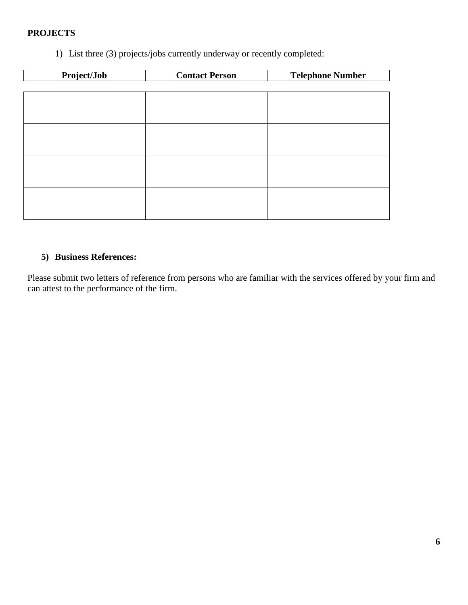## **PROJECTS**

1) List three (3) projects/jobs currently underway or recently completed:

| Project/Job | <b>Contact Person</b> | <b>Telephone Number</b> |
|-------------|-----------------------|-------------------------|
|             |                       |                         |
|             |                       |                         |
|             |                       |                         |
|             |                       |                         |
|             |                       |                         |
|             |                       |                         |
|             |                       |                         |
|             |                       |                         |
|             |                       |                         |
|             |                       |                         |
|             |                       |                         |
|             |                       |                         |

## **5) Business References:**

Please submit two letters of reference from persons who are familiar with the services offered by your firm and can attest to the performance of the firm.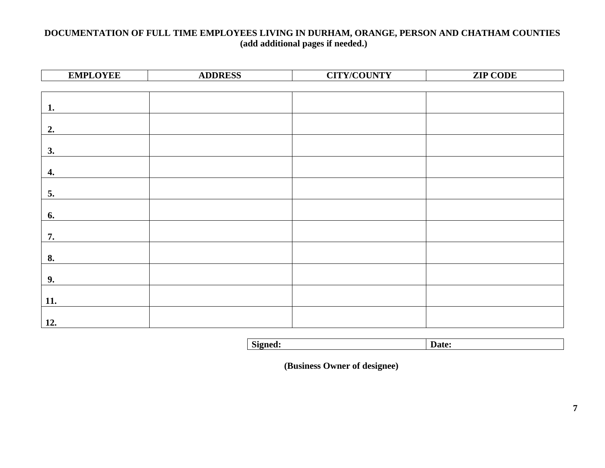## **DOCUMENTATION OF FULL TIME EMPLOYEES LIVING IN DURHAM, ORANGE, PERSON AND CHATHAM COUNTIES (add additional pages if needed.)**

| <b>EMPLOYEE</b> | <b>ADDRESS</b> | <b>CITY/COUNTY</b> | <b>ZIP CODE</b> |
|-----------------|----------------|--------------------|-----------------|
|                 |                |                    |                 |
|                 |                |                    |                 |
| 1.              |                |                    |                 |
|                 |                |                    |                 |
| 2.              |                |                    |                 |
| 3.              |                |                    |                 |
|                 |                |                    |                 |
| 4.              |                |                    |                 |
|                 |                |                    |                 |
| 5.              |                |                    |                 |
|                 |                |                    |                 |
| 6.              |                |                    |                 |
|                 |                |                    |                 |
| 7.              |                |                    |                 |
|                 |                |                    |                 |
| 8.              |                |                    |                 |
| 9.              |                |                    |                 |
|                 |                |                    |                 |
| 11.             |                |                    |                 |
|                 |                |                    |                 |
| 12.             |                |                    |                 |

| Signed: | Date: |
|---------|-------|
|         |       |

 **(Business Owner of designee)**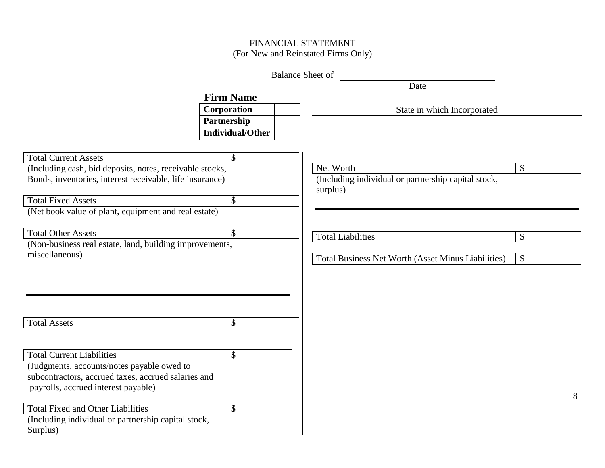## FINANCIAL STATEMENT (For New and Reinstated Firms Only)

|                                                          |                           | <b>Balance Sheet of</b>                                   |    |
|----------------------------------------------------------|---------------------------|-----------------------------------------------------------|----|
|                                                          |                           | Date                                                      |    |
|                                                          | <b>Firm Name</b>          |                                                           |    |
|                                                          | Corporation               | State in which Incorporated                               |    |
|                                                          | Partnership               |                                                           |    |
|                                                          | <b>Individual/Other</b>   |                                                           |    |
|                                                          |                           |                                                           |    |
| <b>Total Current Assets</b>                              | \$                        |                                                           |    |
| (Including cash, bid deposits, notes, receivable stocks, |                           | Net Worth                                                 | \$ |
| Bonds, inventories, interest receivable, life insurance) |                           | (Including individual or partnership capital stock,       |    |
|                                                          |                           | surplus)                                                  |    |
| <b>Total Fixed Assets</b>                                | $\boldsymbol{\mathsf{S}}$ |                                                           |    |
| (Net book value of plant, equipment and real estate)     |                           |                                                           |    |
| <b>Total Other Assets</b>                                |                           |                                                           |    |
| (Non-business real estate, land, building improvements,  | \$                        | <b>Total Liabilities</b>                                  | \$ |
| miscellaneous)                                           |                           |                                                           |    |
|                                                          |                           | <b>Total Business Net Worth (Asset Minus Liabilities)</b> | \$ |
|                                                          |                           |                                                           |    |
|                                                          |                           |                                                           |    |
|                                                          |                           |                                                           |    |
|                                                          |                           |                                                           |    |
|                                                          |                           |                                                           |    |
| <b>Total Assets</b>                                      | \$                        |                                                           |    |
|                                                          |                           |                                                           |    |
| <b>Total Current Liabilities</b>                         | \$                        |                                                           |    |
| (Judgments, accounts/notes payable owed to               |                           |                                                           |    |
| subcontractors, accrued taxes, accrued salaries and      |                           |                                                           |    |
| payrolls, accrued interest payable)                      |                           |                                                           |    |
|                                                          |                           |                                                           | 8  |
| <b>Total Fixed and Other Liabilities</b>                 | $\boldsymbol{\mathsf{S}}$ |                                                           |    |
| (Including individual or partnership capital stock,      |                           |                                                           |    |
| Surplus)                                                 |                           |                                                           |    |
|                                                          |                           |                                                           |    |